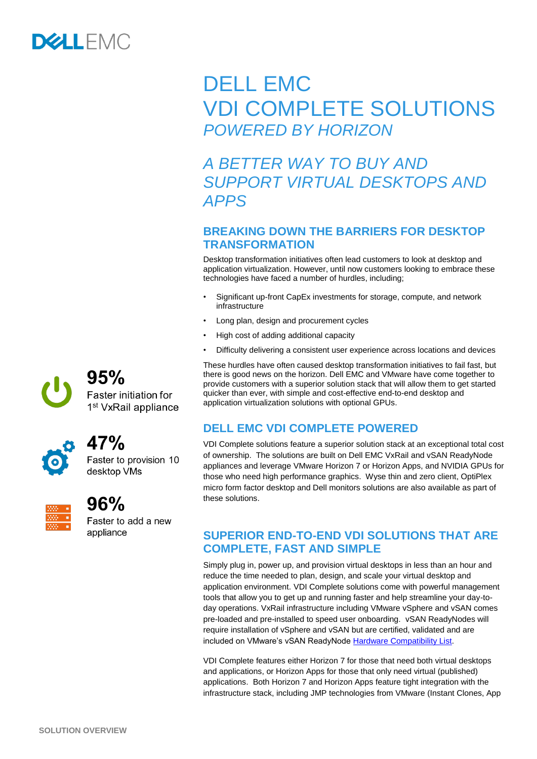

# DELL EMC VDI COMPLETE SOLUTIONS *POWERED BY HORIZON*

# *A BETTER WAY TO BUY AND SUPPORT VIRTUAL DESKTOPS AND APPS*

#### **BREAKING DOWN THE BARRIERS FOR DESKTOP TRANSFORMATION**

Desktop transformation initiatives often lead customers to look at desktop and application virtualization. However, until now customers looking to embrace these technologies have faced a number of hurdles, including;

- Significant up-front CapEx investments for storage, compute, and network infrastructure
- Long plan, design and procurement cycles
- High cost of adding additional capacity
- Difficulty delivering a consistent user experience across locations and devices

These hurdles have often caused desktop transformation initiatives to fail fast, but there is good news on the horizon. Dell EMC and VMware have come together to provide customers with a superior solution stack that will allow them to get started quicker than ever, with simple and cost-effective end-to-end desktop and application virtualization solutions with optional GPUs.

## **DELL EMC VDI COMPLETE POWERED**

VDI Complete solutions feature a superior solution stack at an exceptional total cost of ownership. The solutions are built on Dell EMC VxRail and vSAN ReadyNode appliances and leverage VMware Horizon 7 or Horizon Apps, and NVIDIA GPUs for those who need high performance graphics. Wyse thin and zero client, OptiPlex micro form factor desktop and Dell monitors solutions are also available as part of these solutions.

#### **SUPERIOR END-TO-END VDI SOLUTIONS THAT ARE COMPLETE, FAST AND SIMPLE**

Simply plug in, power up, and provision virtual desktops in less than an hour and reduce the time needed to plan, design, and scale your virtual desktop and application environment. VDI Complete solutions come with powerful management tools that allow you to get up and running faster and help streamline your day-today operations. VxRail infrastructure including VMware vSphere and vSAN comes pre-loaded and pre-installed to speed user onboarding. vSAN ReadyNodes will require installation of vSphere and vSAN but are certified, validated and are included on VMware's vSAN ReadyNode [Hardware Compatibility List.](https://www.vmware.com/resources/compatibility/search.php?deviceCategory=vsan)

VDI Complete features either Horizon 7 for those that need both virtual desktops and applications, or Horizon Apps for those that only need virtual (published) applications. Both Horizon 7 and Horizon Apps feature tight integration with the infrastructure stack, including JMP technologies from VMware (Instant Clones, App



# 95% Faster initiation for 1<sup>st</sup> VxRail appliance



# 47%

Faster to provision 10 desktop VMs



# 96%

Faster to add a new appliance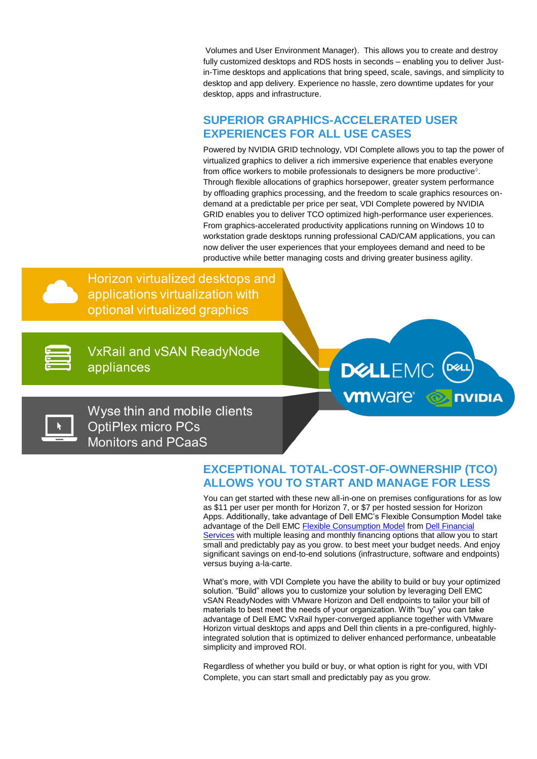Volumes and User Environment Manager). This allows you to create and destroy fully customized desktops and RDS hosts in seconds – enabling you to deliver Justin-Time desktops and applications that bring speed, scale, savings, and simplicity to desktop and app delivery. Experience no hassle, zero downtime updates for your desktop, apps and infrastructure.

#### **SUPERIOR GRAPHICS-ACCELERATED USER EXPERIENCES FOR ALL USE CASES**

Powered by NVIDIA GRID technology, VDI Complete allows you to tap the power of virtualized graphics to deliver a rich immersive experience that enables everyone from office workers to mobile professionals to designers be more productive $\delta$ . Through flexible allocations of graphics horsepower, greater system performance by offloading graphics processing, and the freedom to scale graphics resources ondemand at a predictable per price per seat, VDI Complete powered by NVIDIA GRID enables you to deliver TCO optimized high-performance user experiences. From graphics-accelerated productivity applications running on Windows 10 to workstation grade desktops running professional CAD/CAM applications, you can now deliver the user experiences that your employees demand and need to be productive while better managing costs and driving greater business agility.

Horizon virtualized desktops and applications virtualization with optional virtualized graphics

**VxRail and vSAN ReadyNode** appliances



Wyse thin and mobile clients **OptiPlex micro PCs Monitors and PCaaS** 

## **EXCEPTIONAL TOTAL-COST-OF-OWNERSHIP (TCO) ALLOWS YOU TO START AND MANAGE FOR LESS**

You can get started with these new all-in-one on premises configurations for as low as \$11 per user per month for Horizon 7, or \$7 per hosted session for Horizon Apps. Additionally, take advantage of Dell EMC's Flexible Consumption Model take advantage of the Dell EMC [Flexible Consumption](https://www.dellemc.com/en-us/flexibleconsumption/index.htm) Model from [Dell Financial](https://dfs.dell.com/Pages/DFSHomePage.aspx)  [Services](https://dfs.dell.com/Pages/DFSHomePage.aspx) with multiple leasing and monthly financing options that allow you to start small and predictably pay as you grow. to best meet your budget needs. And enjoy significant savings on end-to-end solutions (infrastructure, software and endpoints) versus buying a-la-carte.

What's more, with VDI Complete you have the ability to build or buy your optimized solution. "Build" allows you to customize your solution by leveraging Dell EMC vSAN ReadyNodes with VMware Horizon and Dell endpoints to tailor your bill of materials to best meet the needs of your organization. With "buy" you can take advantage of Dell EMC VxRail hyper-converged appliance together with VMware Horizon virtual desktops and apps and Dell thin clients in a pre-configured, highlyintegrated solution that is optimized to deliver enhanced performance, unbeatable simplicity and improved ROI.

Regardless of whether you build or buy, or what option is right for you, with VDI Complete, you can start small and predictably pay as you grow.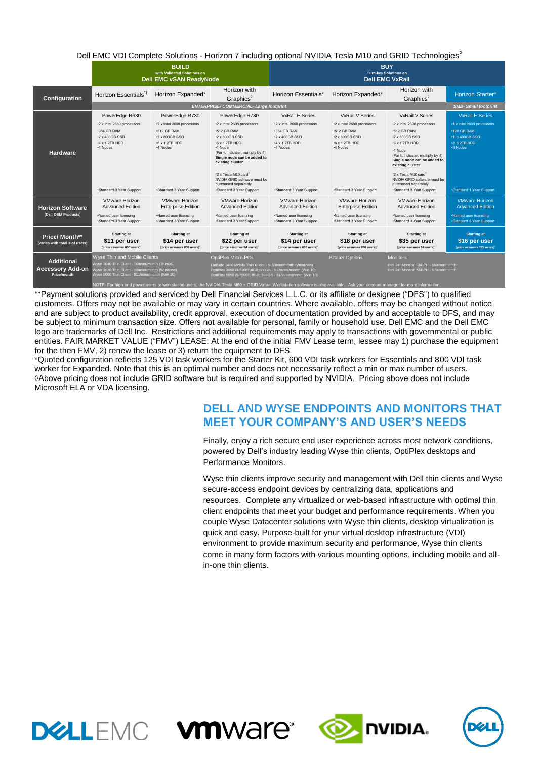| <b>Point in the complete Columns Transfer Figures in Motion in the columns of the Transfer of the Columns of the T</b> |                                                                                                                                                                                         |                                                                                                                               |                                                                                                                                                                                                                                                                                                          |                                                                                                                       |                                                                                                                               |                                                                                                                                                                                                                                                                                             |                                                                                                                                  |  |
|------------------------------------------------------------------------------------------------------------------------|-----------------------------------------------------------------------------------------------------------------------------------------------------------------------------------------|-------------------------------------------------------------------------------------------------------------------------------|----------------------------------------------------------------------------------------------------------------------------------------------------------------------------------------------------------------------------------------------------------------------------------------------------------|-----------------------------------------------------------------------------------------------------------------------|-------------------------------------------------------------------------------------------------------------------------------|---------------------------------------------------------------------------------------------------------------------------------------------------------------------------------------------------------------------------------------------------------------------------------------------|----------------------------------------------------------------------------------------------------------------------------------|--|
|                                                                                                                        | <b>BUILD</b><br>with Validated Solutions on<br><b>Dell EMC vSAN ReadvNode</b>                                                                                                           |                                                                                                                               |                                                                                                                                                                                                                                                                                                          | <b>BUY</b><br><b>Turn-key Solutions on</b><br><b>Dell EMC VxRail</b>                                                  |                                                                                                                               |                                                                                                                                                                                                                                                                                             |                                                                                                                                  |  |
| Configuration                                                                                                          | Horizon Essentials <sup>1</sup>                                                                                                                                                         | Horizon Expanded*                                                                                                             | Horizon with<br>Graphics <sup>®</sup>                                                                                                                                                                                                                                                                    | Horizon Essentials*                                                                                                   | Horizon Expanded*                                                                                                             | Horizon with<br>Graphics                                                                                                                                                                                                                                                                    | <b>Horizon Starter*</b>                                                                                                          |  |
|                                                                                                                        | <b>ENTERPRISE/COMMERCIAL-Large footprint</b>                                                                                                                                            |                                                                                                                               |                                                                                                                                                                                                                                                                                                          |                                                                                                                       |                                                                                                                               |                                                                                                                                                                                                                                                                                             |                                                                                                                                  |  |
|                                                                                                                        | PowerEdge R630                                                                                                                                                                          | PowerEdge R730                                                                                                                | PowerEdge R730                                                                                                                                                                                                                                                                                           | <b>VxRail E Series</b>                                                                                                | <b>VxRail V Series</b>                                                                                                        | <b>VxRail V Series</b>                                                                                                                                                                                                                                                                      | <b>VxRail E Series</b>                                                                                                           |  |
| <b>Hardware</b>                                                                                                        | *2 x Intel 2660 processors<br>+384 GB RAM<br>*2 x 400GB SSD<br>*4 x 1.2TB HDD<br>*4 Nodes<br>*Standard 3 Year Support                                                                   | *2 x Intel 2698 processors<br>+512 GB RAM<br>*2 x 800GB SSD<br>$-6 \times 1.2$ TB HDD<br>*4 Nodes<br>*Standard 3 Year Support | *2 x Intel 2698 processors<br>+512 GB RAM<br>*2 x 800GB SSD<br>+6 x 1.2TB HDD<br>•1 Node<br>(For full cluster, multiply by 4)<br>Single node can be added to<br>existing cluster<br>*2 x Tesla M10 card <sup>®</sup><br>NVIDIA GRID software must be<br>purchased separately<br>*Standard 3 Year Support | *2 x Intel 2660 processors<br>+384 GB RAM<br>*2 x 400GB SSD<br>*4 x 1.2TB HDD<br>*4 Nodes<br>*Standard 3 Year Support | *2 x Intel 2698 processors<br>+512 GB RAM<br>*2 x 800GB SSD<br>$-6 \times 1.2$ TB HDD<br>*4 Nodes<br>•Standard 3 Year Support | *2 x Intel 2698 processors<br>+512 GB RAM<br>*2 x 800GB SSD<br>+6 x 1.2TB HDD<br>•1 Node<br>(For full cluster, multiply by 4)<br>Single node can be added to<br>existing cluster<br>*2 x Tesla M10 card<br>NVIDIA GRID software must be<br>purchased separately<br>*Standard 3 Year Support | +1 x Intel 2609 processors<br>•128 GB RAM<br>•1 x 400GB SSD<br>$\cdot 2 \times 2$ TB HDD<br>+3 Nodes<br>•Standard 1 Year Support |  |
| <b>Horizon Software</b><br>(Dell OEM Products)                                                                         | <b>VMware Horizon</b><br><b>Advanced Edition</b><br>Named user licensing<br>*Standard 3 Year Support                                                                                    | <b>VMware Horizon</b><br><b>Enterprise Edition</b><br>•Named user licensing<br>•Standard 3 Year Support                       | <b>VMware Horizon</b><br><b>Advanced Edition</b><br>Named user licensing<br>*Standard 3 Year Support                                                                                                                                                                                                     | <b>VMware Horizon</b><br><b>Advanced Edition</b><br>·Named user licensing<br>*Standard 3 Year Support                 | <b>VMware Horizon</b><br><b>Enterprise Edition</b><br>•Named user licensing<br>*Standard 3 Year Support                       | <b>VMware Horizon</b><br><b>Advanced Edition</b><br>Named user licensing<br>*Standard 3 Year Support                                                                                                                                                                                        | <b>VMware Horizon</b><br><b>Advanced Edition</b><br>.Named user licensing<br>*Standard 3 Year Support                            |  |
| Price/ Month**<br>(varies with total # of users)                                                                       | <b>Starting at</b><br>\$11 per user<br>[price assumes 600 users]                                                                                                                        | <b>Starting at</b><br>\$14 per user<br>[price assumes 800 users]                                                              | <b>Starting at</b><br>\$22 per user<br>[price assumes 64 users] <sup>c</sup>                                                                                                                                                                                                                             | <b>Starting at</b><br>\$14 per user<br>[price assumes 600 users]                                                      | <b>Starting at</b><br>\$18 per user<br>[price assumes 800 users]                                                              | <b>Starting at</b><br>\$35 per user<br>[price assumes 64 users]                                                                                                                                                                                                                             | <b>Starting at</b><br>\$16 per user<br>[price assumes 125 users]                                                                 |  |
| <b>Additional</b><br><b>Accessory Add-on</b><br>Price/month                                                            | Wyse Thin and Mobile Clients<br>Wyse 3040 Thin Client - \$6/user/month (ThinOS)<br>Wyse 3030 Thin Client - \$9/user/month (Windows)<br>Wyse 5060 Thin Client - \$11/user/month (Win 10) |                                                                                                                               | <b>OptiPlex Micro PCs</b><br>Latitude 3480 Mobile Thin Client - \$15/user/month (Windows)<br>OptiPlex 3050 i3-7100T;4GB;500GB - \$12/user/month (Win 10)<br>OptiPlex 5050 i5-7500T; 8GB; 500GB - \$17/user/month (Win 10)                                                                                |                                                                                                                       | <b>PCaaS Options</b>                                                                                                          | <b>Monitors</b><br>Dell 24" Monitor E2417H - \$5/user/month<br>Dell 24" Monitor P2417H - \$7/user/month                                                                                                                                                                                     |                                                                                                                                  |  |
|                                                                                                                        | NOTE: For high end power users or workstation users, the NVIDIA Tesla M60 + GRID Virtual Workstation software is also available. Ask your account manager for more information.         |                                                                                                                               |                                                                                                                                                                                                                                                                                                          |                                                                                                                       |                                                                                                                               |                                                                                                                                                                                                                                                                                             |                                                                                                                                  |  |

#### Dell EMC VDI Complete Solutions - Horizon 7 including optional NVIDIA Tesla M10 and GRID Technologies◊

\*\*Payment solutions provided and serviced by Dell Financial Services L.L.C. or its affiliate or designee ("DFS") to qualified customers. Offers may not be available or may vary in certain countries. Where available, offers may be changed without notice and are subject to product availability, credit approval, execution of documentation provided by and acceptable to DFS, and may be subject to minimum transaction size. Offers not available for personal, family or household use. Dell EMC and the Dell EMC logo are trademarks of Dell Inc. Restrictions and additional requirements may apply to transactions with governmental or public entities. FAIR MARKET VALUE ("FMV") LEASE: At the end of the initial FMV Lease term, lessee may 1) purchase the equipment for the then FMV, 2) renew the lease or 3) return the equipment to DFS.

\*Quoted configuration reflects 125 VDI task workers for the Starter Kit, 600 VDI task workers for Essentials and 800 VDI task worker for Expanded. Note that this is an optimal number and does not necessarily reflect a min or max number of users. ◊Above pricing does not include GRID software but is required and supported by NVIDIA. Pricing above does not include Microsoft ELA or VDA licensing.

## **DELL AND WYSE ENDPOINTS AND MONITORS THAT MEET YOUR COMPANY'S AND USER'S NEEDS**

Finally, enjoy a rich secure end user experience across most network conditions, powered by Dell's industry leading Wyse thin clients, OptiPlex desktops and Performance Monitors.

Wyse thin clients improve security and management with Dell thin clients and Wyse secure-access endpoint devices by centralizing data, applications and resources. Complete any virtualized or web-based infrastructure with optimal thin client endpoints that meet your budget and performance requirements. When you couple Wyse Datacenter solutions with Wyse thin clients, desktop virtualization is quick and easy. Purpose-built for your virtual desktop infrastructure (VDI) environment to provide maximum security and performance, Wyse thin clients come in many form factors with various mounting options, including mobile and allin-one thin clients.







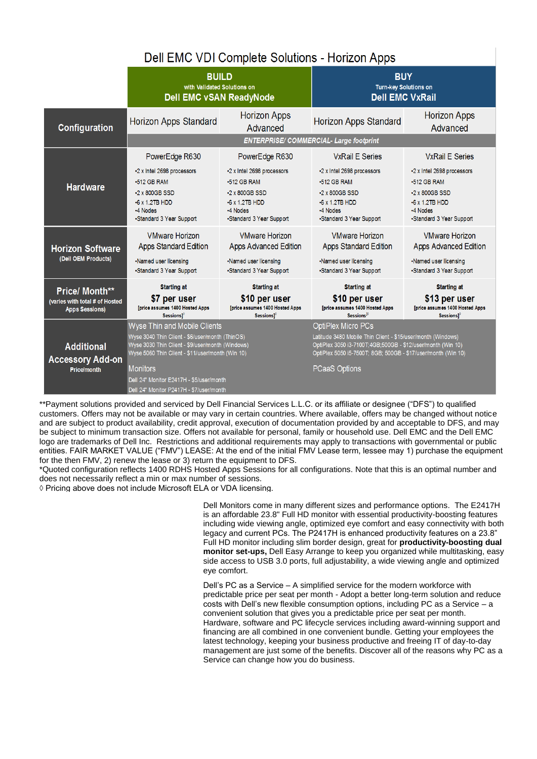## Dell EMC VDI Complete Solutions - Horizon Apps

|                                                                                  | <b>BUILD</b><br>with Validated Solutions on<br><b>Dell EMC vSAN ReadyNode</b>                                                                                                                                                                                                                      |                                                                                                                                      | <b>BUY</b><br><b>Turn-key Solutions on</b><br><b>Dell EMC VxRail</b>                                                                                                                                                                              |                                                                                                                                 |  |  |  |
|----------------------------------------------------------------------------------|----------------------------------------------------------------------------------------------------------------------------------------------------------------------------------------------------------------------------------------------------------------------------------------------------|--------------------------------------------------------------------------------------------------------------------------------------|---------------------------------------------------------------------------------------------------------------------------------------------------------------------------------------------------------------------------------------------------|---------------------------------------------------------------------------------------------------------------------------------|--|--|--|
| Configuration                                                                    | Horizon Apps Standard                                                                                                                                                                                                                                                                              | <b>Horizon Apps</b><br>Advanced                                                                                                      | Horizon Apps Standard                                                                                                                                                                                                                             | Horizon Apps<br>Advanced                                                                                                        |  |  |  |
|                                                                                  | <b>ENTERPRISE/COMMERCIAL-Large footprint</b>                                                                                                                                                                                                                                                       |                                                                                                                                      |                                                                                                                                                                                                                                                   |                                                                                                                                 |  |  |  |
|                                                                                  | PowerEdge R630                                                                                                                                                                                                                                                                                     | PowerEdge R630                                                                                                                       | <b>VxRail E Series</b>                                                                                                                                                                                                                            | <b>VxRail E Series</b>                                                                                                          |  |  |  |
| <b>Hardware</b>                                                                  | -2 x Intel 2698 processors<br>$\cdot 512$ GB RAM<br>$\cdot$ 2 x 800GB SSD<br>$-6x$ 1.2TB HDD<br>*4 Nodes<br>•Standard 3 Year Support                                                                                                                                                               | -2 x Intel 2698 processors<br>$\cdot 512$ GB RAM<br>$\cdot$ 2 x 800GB SSD<br>$-6x$ 1.2TB HDD<br>*4 Nodes<br>•Standard 3 Year Support | -2 x Intel 2698 processors<br>$\cdot 512$ GB RAM<br>$\cdot$ 2 x 800GB SSD<br>$-6x$ 1.2TB HDD<br>*4 Nodes<br>•Standard 3 Year Support                                                                                                              | -2 x Intel 2698 processors<br>$-512$ GB RAM<br>$\cdot$ 2 x 800GB SSD<br>$-6x$ 1.2TB HDD<br>-4 Nodes<br>•Standard 3 Year Support |  |  |  |
| <b>Horizon Software</b><br>(Dell OEM Products)                                   | <b>VMware Horizon</b><br><b>Apps Standard Edition</b><br>•Named user licensing<br>•Standard 3 Year Support                                                                                                                                                                                         | <b>VMware Horizon</b><br>Apps Advanced Edition<br>·Named user licensing<br>•Standard 3 Year Support                                  | <b>VMware Horizon</b><br>Apps Standard Edition<br>·Named user licensing<br>•Standard 3 Year Support                                                                                                                                               | <b>VMware Horizon</b><br><b>Apps Advanced Edition</b><br>·Named user licensing<br>•Standard 3 Year Support                      |  |  |  |
| <b>Price/ Month**</b><br>(varies with total # of Hosted<br><b>Apps Sessions)</b> | <b>Starting at</b><br>\$7 per user<br>[price assumes 1400 Hosted Apps<br>Sessions1°                                                                                                                                                                                                                | <b>Starting at</b><br>\$10 per user<br><b>[price assumes 1400 Hosted Apps</b><br>Sessions <sup>10</sup>                              | <b>Starting at</b><br>\$10 per user<br><b>[price assumes 1400 Hosted Apps</b><br>Sessions <sup>10</sup>                                                                                                                                           | <b>Starting at</b><br>\$13 per user<br><b>[price assumes 1400 Hosted Apps</b><br>Sessions]                                      |  |  |  |
| <b>Additional</b><br><b>Accessory Add-on</b><br><b>Price/month</b>               | Wyse Thin and Mobile Clients<br>Wyse 3040 Thin Client - \$6/user/month (ThinOS)<br>Wyse 3030 Thin Client - \$9/user/month (Windows)<br>Wyse 5060 Thin Client - \$11/user/month (Win 10)<br><b>Monitors</b><br>Dell 24" Monitor E2417H - \$5/user/month<br>Dell 24" Monitor P2417H - \$7/user/month |                                                                                                                                      | <b>OptiPlex Micro PCs</b><br>Latitude 3480 Mobile Thin Client - \$15/user/month (Windows)<br>OptiPlex 3050 i3-7100T;4GB;500GB - \$12/user/month (Win 10)<br>OptiPlex 5050 i5-7500T; 8GB; 500GB - \$17/user/month (Win 10)<br><b>PCaaS Options</b> |                                                                                                                                 |  |  |  |

\*\*Payment solutions provided and serviced by Dell Financial Services L.L.C. or its affiliate or designee ("DFS") to qualified customers. Offers may not be available or may vary in certain countries. Where available, offers may be changed without notice and are subject to product availability, credit approval, execution of documentation provided by and acceptable to DFS, and may be subject to minimum transaction size. Offers not available for personal, family or household use. Dell EMC and the Dell EMC logo are trademarks of Dell Inc. Restrictions and additional requirements may apply to transactions with governmental or public entities. FAIR MARKET VALUE ("FMV") LEASE: At the end of the initial FMV Lease term, lessee may 1) purchase the equipment for the then FMV, 2) renew the lease or 3) return the equipment to DFS.

\*Quoted configuration reflects 1400 RDHS Hosted Apps Sessions for all configurations. Note that this is an optimal number and does not necessarily reflect a min or max number of sessions.

◊ Pricing above does not include Microsoft ELA or VDA licensing.

Dell Monitors come in many different sizes and performance options. The E2417H is an affordable 23.8" Full HD monitor with essential productivity-boosting features including wide viewing angle, optimized eye comfort and easy connectivity with both legacy and current PCs. The P2417H is enhanced productivity features on a 23.8" Full HD monitor including slim border design, great for **productivity-boosting dual monitor set-ups,** Dell Easy Arrange to keep you organized while multitasking, easy side access to USB 3.0 ports, full adjustability, a wide viewing angle and optimized eye comfort.

Dell's PC as a Service – A simplified service for the modern workforce with predictable price per seat per month - Adopt a better long-term solution and reduce costs with Dell's new flexible consumption options, including PC as a Service – a convenient solution that gives you a predictable price per seat per month. Hardware, software and PC lifecycle services including award-winning support and financing are all combined in one convenient bundle. Getting your employees the latest technology, keeping your business productive and freeing IT of day-to-day management are just some of the benefits. Discover all of the reasons why PC as a Service can change how you do business.